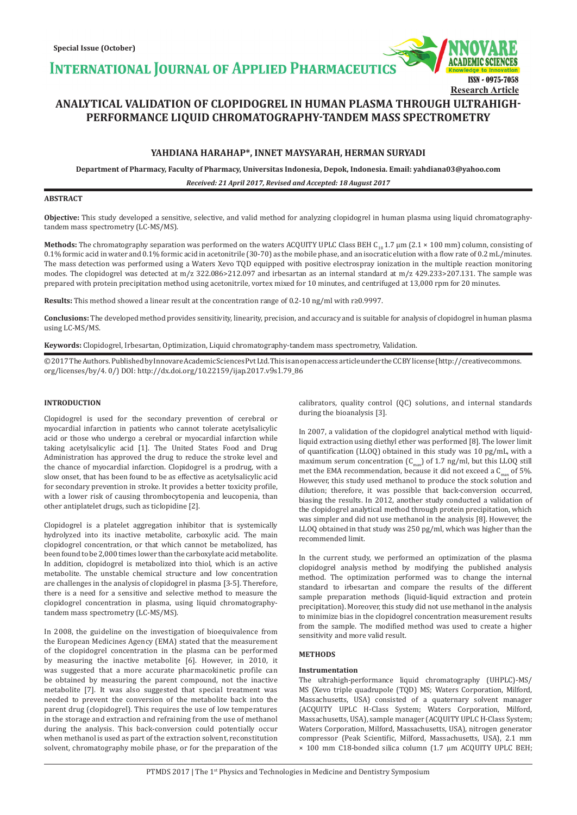**INTERNATIONAL JOURNAL OF APPLIED PHARMACEUTIC** 

# **ANALYTICAL VALIDATION OF CLOPIDOGREL IN HUMAN PLASMA THROUGH ULTRAHIGH-PERFORMANCE LIQUID CHROMATOGRAPHY-TANDEM MASS SPECTROMETRY**

# **YAHDIANA HARAHAP\*, INNET MAYSYARAH, HERMAN SURYADI**

**Department of Pharmacy, Faculty of Pharmacy, Universitas Indonesia, Depok, Indonesia. Email: yahdiana03@yahoo.com**

*Received: 21 April 2017, Revised and Accepted: 18 August 2017*

# **ABSTRACT**

**Objective:** This study developed a sensitive, selective, and valid method for analyzing clopidogrel in human plasma using liquid chromatographytandem mass spectrometry (LC-MS/MS).

**Methods:** The chromatography separation was performed on the waters ACQUITY UPLC Class BEH C<sub>18</sub> 1.7  $\mu$ m (2.1 × 100 mm) column, consisting of 0.1% formic acid in water and 0.1% formic acid in acetonitrile (30-70) as the mobile phase, and an isocratic elution with a flow rate of 0.2 mL/minutes. The mass detection was performed using a Waters Xevo TQD equipped with positive electrospray ionization in the multiple reaction monitoring modes. The clopidogrel was detected at m/z 322.086>212.097 and irbesartan as an internal standard at m/z 429.233>207.131. The sample was prepared with protein precipitation method using acetonitrile, vortex mixed for 10 minutes, and centrifuged at 13,000 rpm for 20 minutes.

**Results:** This method showed a linear result at the concentration range of 0.2-10 ng/ml with r≥0.9997.

**Conclusions:** The developed method provides sensitivity, linearity, precision, and accuracy and is suitable for analysis of clopidogrel in human plasma using LC-MS/MS.

**Keywords:** Clopidogrel, Irbesartan, Optimization, Liquid chromatography-tandem mass spectrometry, Validation.

© 2017 The Authors. Published by Innovare Academic Sciences Pvt Ltd. This is an open access article under the CC BY license (http://creativecommons. org/licenses/by/4. 0/) DOI: http://dx.doi.org/10.22159/ijap.2017.v9s1.79\_86

# **INTRODUCTION**

Clopidogrel is used for the secondary prevention of cerebral or myocardial infarction in patients who cannot tolerate acetylsalicylic acid or those who undergo a cerebral or myocardial infarction while taking acetylsalicylic acid [1]. The United States Food and Drug Administration has approved the drug to reduce the stroke level and the chance of myocardial infarction. Clopidogrel is a prodrug, with a slow onset, that has been found to be as effective as acetylsalicylic acid for secondary prevention in stroke. It provides a better toxicity profile, with a lower risk of causing thrombocytopenia and leucopenia, than other antiplatelet drugs, such as ticlopidine [2].

Clopidogrel is a platelet aggregation inhibitor that is systemically hydrolyzed into its inactive metabolite, carboxylic acid. The main clopidogrel concentration, or that which cannot be metabolized, has been found to be 2,000 times lower than the carboxylate acid metabolite. In addition, clopidogrel is metabolized into thiol, which is an active metabolite. The unstable chemical structure and low concentration are challenges in the analysis of clopidogrel in plasma [3-5]. Therefore, there is a need for a sensitive and selective method to measure the clopidogrel concentration in plasma, using liquid chromatographytandem mass spectrometry (LC-MS/MS).

In 2008, the guideline on the investigation of bioequivalence from the European Medicines Agency (EMA) stated that the measurement of the clopidogrel concentration in the plasma can be performed by measuring the inactive metabolite [6]. However, in 2010, it was suggested that a more accurate pharmacokinetic profile can be obtained by measuring the parent compound, not the inactive metabolite [7]. It was also suggested that special treatment was needed to prevent the conversion of the metabolite back into the parent drug (clopidogrel). This requires the use of low temperatures in the storage and extraction and refraining from the use of methanol during the analysis. This back-conversion could potentially occur when methanol is used as part of the extraction solvent, reconstitution solvent, chromatography mobile phase, or for the preparation of the calibrators, quality control (QC) solutions, and internal standards during the bioanalysis [3].

ISSN - 0975-7058

**Research Article**

In 2007, a validation of the clopidogrel analytical method with liquidliquid extraction using diethyl ether was performed [8]. The lower limit of quantification (LLOQ) obtained in this study was 10 pg/mL, with a maximum serum concentration  $(C_{\text{max}})$  of 1.7 ng/ml, but this LLOQ still met the EMA recommendation, because it did not exceed a  $C_{\text{max}}$  of 5%. However, this study used methanol to produce the stock solution and dilution; therefore, it was possible that back-conversion occurred, biasing the results. In 2012, another study conducted a validation of the clopidogrel analytical method through protein precipitation, which was simpler and did not use methanol in the analysis [8]. However, the LLOQ obtained in that study was 250 pg/ml, which was higher than the recommended limit.

In the current study, we performed an optimization of the plasma clopidogrel analysis method by modifying the published analysis method. The optimization performed was to change the internal standard to irbesartan and compare the results of the different sample preparation methods (liquid-liquid extraction and protein precipitation). Moreover, this study did not use methanol in the analysis to minimize bias in the clopidogrel concentration measurement results from the sample. The modified method was used to create a higher sensitivity and more valid result.

# **METHODS**

# **Instrumentation**

The ultrahigh-performance liquid chromatography (UHPLC)-MS/ MS (Xevo triple quadrupole (TQD) MS; Waters Corporation, Milford, Massachusetts, USA) consisted of a quaternary solvent manager (ACQUITY UPLC H-Class System; Waters Corporation, Milford, Massachusetts, USA), sample manager (ACQUITY UPLC H-Class System; Waters Corporation, Milford, Massachusetts, USA), nitrogen generator compressor (Peak Scientific, Milford, Massachusetts, USA), 2.1 mm × 100 mm C18-bonded silica column (1.7 µm ACQUITY UPLC BEH;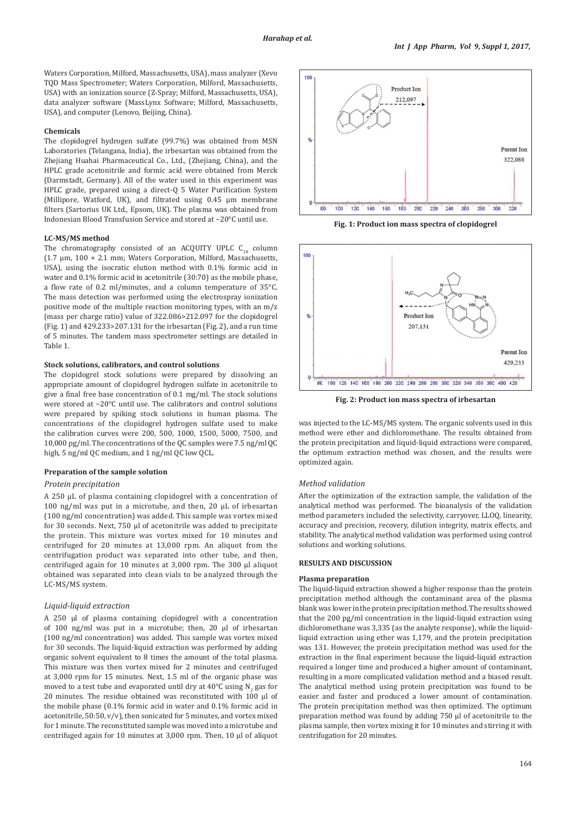Waters Corporation, Milford, Massachusetts, USA), mass analyzer (Xevo TQD Mass Spectrometer; Waters Corporation, Milford, Massachusetts, USA) with an ionization source (Z-Spray; Milford, Massachusetts, USA), data analyzer software (MassLynx Software; Milford, Massachusetts, USA), and computer (Lenovo, Beijing, China).

### **Chemicals**

The clopidogrel hydrogen sulfate (99.7%) was obtained from MSN Laboratories (Telangana, India), the irbesartan was obtained from the Zhejiang Huahai Pharmaceutical Co., Ltd., (Zhejiang, China), and the HPLC grade acetonitrile and formic acid were obtained from Merck (Darmstadt, Germany). All of the water used in this experiment was HPLC grade, prepared using a direct-Q 5 Water Purification System (Millipore, Watford, UK), and filtrated using 0.45 µm membrane filters (Sartorius UK Ltd., Epsom, UK). The plasma was obtained from Indonesian Blood Transfusion Service and stored at −20°C until use.

### **LC-MS/MS method**

The chromatography consisted of an ACQUITY UPLC  $C_{18}$  column (1.7 μm, 100 × 2.1 mm; Waters Corporation, Milford, Massachusetts, USA), using the isocratic elution method with 0.1% formic acid in water and 0.1% formic acid in acetonitrile (30:70) as the mobile phase, a flow rate of 0.2 ml/minutes, and a column temperature of 35°C. The mass detection was performed using the electrospray ionization positive mode of the multiple reaction monitoring types, with an m/z (mass per charge ratio) value of 322.086>212.097 for the clopidogrel (Fig. 1) and 429.233>207.131 for the irbesartan (Fig. 2), and a run time of 5 minutes. The tandem mass spectrometer settings are detailed in Table 1.

# **Stock solutions, calibrators, and control solutions**

The clopidogrel stock solutions were prepared by dissolving an appropriate amount of clopidogrel hydrogen sulfate in acetonitrile to give a final free base concentration of 0.1 mg/ml. The stock solutions were stored at −20°C until use. The calibrators and control solutions were prepared by spiking stock solutions in human plasma. The concentrations of the clopidogrel hydrogen sulfate used to make the calibration curves were 200, 500, 1000, 1500, 5000, 7500, and 10,000 pg/ml. The concentrations of the QC samples were 7.5 ng/ml QC high, 5 ng/ml QC medium, and 1 ng/ml QC low QCL.

# **Preparation of the sample solution**

# *Protein precipitation*

A 250 μL of plasma containing clopidogrel with a concentration of 100 ng/ml was put in a microtube, and then, 20 μL of irbesartan (100 ng/ml concentration) was added. This sample was vortex mixed for 30 seconds. Next, 750 μl of acetonitrile was added to precipitate the protein. This mixture was vortex mixed for 10 minutes and centrifuged for 20 minutes at 13,000 rpm. An aliquot from the centrifugation product was separated into other tube, and then, centrifuged again for 10 minutes at 3,000 rpm. The 300 μl aliquot obtained was separated into clean vials to be analyzed through the LC-MS/MS system.

# *Liquid-liquid extraction*

A 250 μl of plasma containing clopidogrel with a concentration of 100 ng/ml was put in a microtube; then, 20 μl of irbesartan (100 ng/ml concentration) was added. This sample was vortex mixed for 30 seconds. The liquid-liquid extraction was performed by adding organic solvent equivalent to 8 times the amount of the total plasma. This mixture was then vortex mixed for 2 minutes and centrifuged at 3,000 rpm for 15 minutes. Next, 1.5 ml of the organic phase was moved to a test tube and evaporated until dry at 40°C using N<sub>2</sub> gas for 20 minutes. The residue obtained was reconstituted with 100 μl of the mobile phase (0.1% formic acid in water and 0.1% formic acid in acetonitrile,  $50:50$ ,  $v/v$ ), then sonicated for 5 minutes, and vortex mixed for 1 minute. The reconstituted sample was moved into a microtube and centrifuged again for 10 minutes at 3,000 rpm. Then, 10 μl of aliquot



**Fig. 1: Product ion mass spectra of clopidogrel**



**Fig. 2: Product ion mass spectra of irbesartan**

was injected to the LC-MS/MS system. The organic solvents used in this method were ether and dichloromethane. The results obtained from the protein precipitation and liquid-liquid extractions were compared, the optimum extraction method was chosen, and the results were optimized again.

# *Method validation*

After the optimization of the extraction sample, the validation of the analytical method was performed. The bioanalysis of the validation method parameters included the selectivity, carryover, LLOQ, linearity, accuracy and precision, recovery, dilution integrity, matrix effects, and stability. The analytical method validation was performed using control solutions and working solutions.

# **RESULTS AND DISCUSSION**

#### **Plasma preparation**

The liquid-liquid extraction showed a higher response than the protein precipitation method although the contaminant area of the plasma blank was lower in the protein precipitation method. The results showed that the 200 pg/ml concentration in the liquid-liquid extraction using dichloromethane was 3,335 (as the analyte response), while the liquidliquid extraction using ether was 1,179, and the protein precipitation was 131. However, the protein precipitation method was used for the extraction in the final experiment because the liquid-liquid extraction required a longer time and produced a higher amount of contaminant, resulting in a more complicated validation method and a biased result. The analytical method using protein precipitation was found to be easier and faster and produced a lower amount of contamination. The protein precipitation method was then optimized. The optimum preparation method was found by adding 750 μl of acetonitrile to the plasma sample, then vortex mixing it for 10 minutes and stirring it with centrifugation for 20 minutes.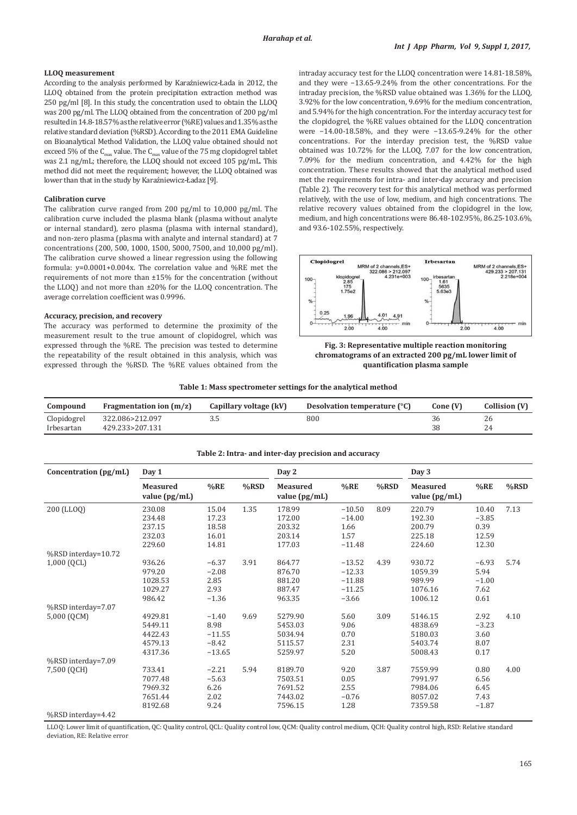# **LLOQ measurement**

According to the analysis performed by Karaźniewicz-Łada in 2012, the LLOQ obtained from the protein precipitation extraction method was 250 pg/ml [8]. In this study, the concentration used to obtain the LLOQ was 200 pg/ml. The LLOQ obtained from the concentration of 200 pg/ml resulted in 14.8-18.57% as the relative error (%RE) values and 1.35% as the relative standard deviation (%RSD). According to the 2011 EMA Guideline on Bioanalytical Method Validation, the LLOQ value obtained should not exceed 5% of the  $C_{\text{max}}$  value. The  $C_{\text{max}}$  value of the 75 mg clopidogrel tablet was 2.1 ng/mL; therefore, the LLOO should not exceed 105 pg/mL. This method did not meet the requirement; however, the LLOQ obtained was lower than that in the study by Karaźniewicz-Ładaz [9].

## **Calibration curve**

The calibration curve ranged from 200 pg/ml to 10,000 pg/ml. The calibration curve included the plasma blank (plasma without analyte or internal standard), zero plasma (plasma with internal standard), and non-zero plasma (plasma with analyte and internal standard) at 7 concentrations (200, 500, 1000, 1500, 5000, 7500, and 10,000 pg/ml). The calibration curve showed a linear regression using the following formula: y=0.0001+0.004x. The correlation value and %RE met the requirements of not more than ±15% for the concentration (without the LLOQ) and not more than ±20% for the LLOQ concentration. The average correlation coefficient was 0.9996.

#### **Accuracy, precision, and recovery**

The accuracy was performed to determine the proximity of the measurement result to the true amount of clopidogrel, which was expressed through the %RE. The precision was tested to determine the repeatability of the result obtained in this analysis, which was expressed through the %RSD. The %RE values obtained from the

intraday accuracy test for the LLOQ concentration were 14.81-18.58%, and they were −13.65-9.24% from the other concentrations. For the intraday precision, the %RSD value obtained was 1.36% for the LLOQ, 3.92% for the low concentration, 9.69% for the medium concentration, and 5.94% for the high concentration. For the interday accuracy test for the clopidogrel, the %RE values obtained for the LLOQ concentration were −14.00-18.58%, and they were −13.65-9.24% for the other concentrations. For the interday precision test, the %RSD value obtained was 10.72% for the LLOQ, 7.07 for the low concentration, 7.09% for the medium concentration, and 4.42% for the high concentration. These results showed that the analytical method used met the requirements for intra- and inter-day accuracy and precision (Table 2). The recovery test for this analytical method was performed relatively, with the use of low, medium, and high concentrations. The relative recovery values obtained from the clopidogrel in the low, medium, and high concentrations were 86.48-102.95%, 86.25-103.6%, and 93.6-102.55%, respectively.





**Table 1: Mass spectrometer settings for the analytical method**

| Compound                  | Fragmentation ion $(m/z)$          | Capillary voltage (kV) | Desolvation temperature (°C) | Cone (V) | Collision (V) |
|---------------------------|------------------------------------|------------------------|------------------------------|----------|---------------|
| Clopidogrel<br>Irbesartan | 322.086>212.097<br>429.233>207.131 | ل. د                   | 800                          | 38       | 26            |

| Concentration (pg/mL) | Day 1                            |          |         | Day 2                              |          |      | Day 3                       |         |         |
|-----------------------|----------------------------------|----------|---------|------------------------------------|----------|------|-----------------------------|---------|---------|
|                       | <b>Measured</b><br>value (pg/mL) | %RE      | $%$ RSD | <b>Measured</b><br>value $(pg/mL)$ | %RE      | %RSD | Measured<br>value $(pg/mL)$ | %RE     | $%$ RSD |
| 200 (LLOQ)            | 230.08                           | 15.04    | 1.35    | 178.99                             | $-10.50$ | 8.09 | 220.79                      | 10.40   | 7.13    |
|                       | 234.48                           | 17.23    |         | 172.00                             | $-14.00$ |      | 192.30                      | $-3.85$ |         |
|                       | 237.15                           | 18.58    |         | 203.32                             | 1.66     |      | 200.79                      | 0.39    |         |
|                       | 232.03                           | 16.01    |         | 203.14                             | 1.57     |      | 225.18                      | 12.59   |         |
|                       | 229.60                           | 14.81    |         | 177.03                             | $-11.48$ |      | 224.60                      | 12.30   |         |
| %RSD interday=10.72   |                                  |          |         |                                    |          |      |                             |         |         |
| 1,000 (QCL)           | 936.26                           | $-6.37$  | 3.91    | 864.77                             | $-13.52$ | 4.39 | 930.72                      | $-6.93$ | 5.74    |
|                       | 979.20                           | $-2.08$  |         | 876.70                             | $-12.33$ |      | 1059.39                     | 5.94    |         |
|                       | 1028.53                          | 2.85     |         | 881.20                             | $-11.88$ |      | 989.99                      | $-1.00$ |         |
|                       | 1029.27                          | 2.93     |         | 887.47                             | $-11.25$ |      | 1076.16                     | 7.62    |         |
|                       | 986.42                           | $-1.36$  |         | 963.35                             | $-3.66$  |      | 1006.12                     | 0.61    |         |
| %RSD interday=7.07    |                                  |          |         |                                    |          |      |                             |         |         |
| 5,000 (QCM)           | 4929.81                          | $-1.40$  | 9.69    | 5279.90                            | 5.60     | 3.09 | 5146.15                     | 2.92    | 4.10    |
|                       | 5449.11                          | 8.98     |         | 5453.03                            | 9.06     |      | 4838.69                     | $-3.23$ |         |
|                       | 4422.43                          | $-11.55$ |         | 5034.94                            | 0.70     |      | 5180.03                     | 3.60    |         |
|                       | 4579.13                          | $-8.42$  |         | 5115.57                            | 2.31     |      | 5403.74                     | 8.07    |         |
|                       | 4317.36                          | $-13.65$ |         | 5259.97                            | 5.20     |      | 5008.43                     | 0.17    |         |
| %RSD interday=7.09    |                                  |          |         |                                    |          |      |                             |         |         |
| 7,500 (QCH)           | 733.41                           | $-2.21$  | 5.94    | 8189.70                            | 9.20     | 3.87 | 7559.99                     | 0.80    | 4.00    |
|                       | 7077.48                          | $-5.63$  |         | 7503.51                            | 0.05     |      | 7991.97                     | 6.56    |         |
|                       | 7969.32                          | 6.26     |         | 7691.52                            | 2.55     |      | 7984.06                     | 6.45    |         |
|                       | 7651.44                          | 2.02     |         | 7443.02                            | $-0.76$  |      | 8057.02                     | 7.43    |         |
|                       | 8192.68                          | 9.24     |         | 7596.15                            | 1.28     |      | 7359.58                     | $-1.87$ |         |
| %RSD interday=4.42    |                                  |          |         |                                    |          |      |                             |         |         |

**Table 2: Intra- and inter-day precision and accuracy**

LLOQ: Lower limit of quantification, QC: Quality control, QCL: Quality control low, QCM: Quality control medium, QCH: Quality control high, RSD: Relative standard deviation, RE: Relative error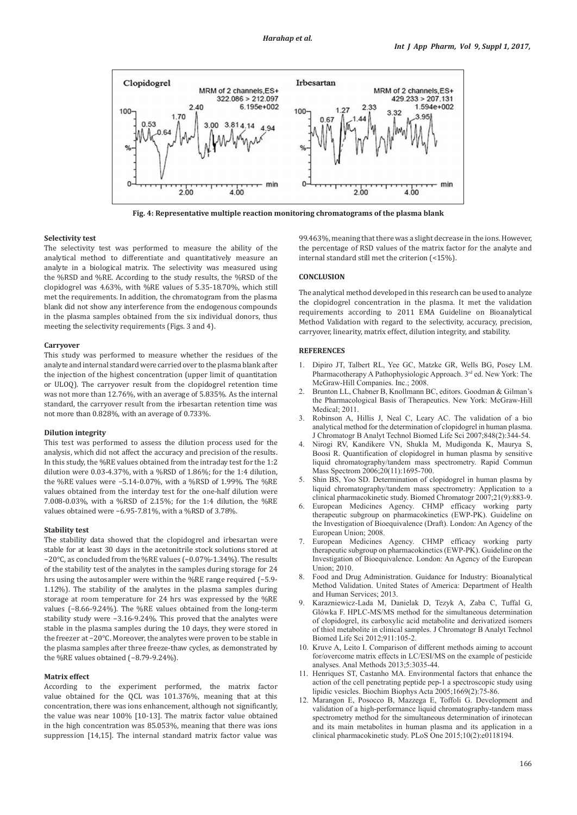

**Fig. 4: Representative multiple reaction monitoring chromatograms of the plasma blank**

# **Selectivity test**

The selectivity test was performed to measure the ability of the analytical method to differentiate and quantitatively measure an analyte in a biological matrix. The selectivity was measured using the %RSD and %RE. According to the study results, the %RSD of the clopidogrel was 4.63%, with %RE values of 5.35-18.70%, which still met the requirements. In addition, the chromatogram from the plasma blank did not show any interference from the endogenous compounds in the plasma samples obtained from the six individual donors, thus meeting the selectivity requirements (Figs. 3 and 4).

#### **Carryover**

This study was performed to measure whether the residues of the analyte and internal standard were carried over to the plasma blank after the injection of the highest concentration (upper limit of quantitation or ULOQ). The carryover result from the clopidogrel retention time was not more than 12.76%, with an average of 5.835%. As the internal standard, the carryover result from the irbesartan retention time was not more than 0.828%, with an average of 0.733%.

#### **Dilution integrity**

This test was performed to assess the dilution process used for the analysis, which did not affect the accuracy and precision of the results. In this study, the %RE values obtained from the intraday test for the 1:2 dilution were 0.03-4.37%, with a %RSD of 1.86%; for the 1:4 dilution, the %RE values were −5.14-0.07%, with a %RSD of 1.99%. The %RE values obtained from the interday test for the one-half dilution were 7.008-0.03%, with a %RSD of 2.15%; for the 1:4 dilution, the %RE values obtained were −6.95-7.81%, with a %RSD of 3.78%.

### **Stability test**

The stability data showed that the clopidogrel and irbesartan were stable for at least 30 days in the acetonitrile stock solutions stored at −20°C, as concluded from the %RE values (−0.07%-1.34%). The results of the stability test of the analytes in the samples during storage for 24 hrs using the autosampler were within the %RE range required (−5.9- 1.12%). The stability of the analytes in the plasma samples during storage at room temperature for 24 hrs was expressed by the %RE values (−8.66-9.24%). The %RE values obtained from the long-term stability study were −3.16-9.24%. This proved that the analytes were stable in the plasma samples during the 10 days, they were stored in the freezer at −20°C. Moreover, the analytes were proven to be stable in the plasma samples after three freeze-thaw cycles, as demonstrated by the %RE values obtained (−8.79-9.24%).

### **Matrix effect**

According to the experiment performed, the matrix factor value obtained for the QCL was 101.376%, meaning that at this concentration, there was ions enhancement, although not significantly, the value was near 100% [10-13]. The matrix factor value obtained in the high concentration was 85.053%, meaning that there was ions suppression [14,15]. The internal standard matrix factor value was 99.463%, meaning that there was a slight decrease in the ions. However, the percentage of RSD values of the matrix factor for the analyte and internal standard still met the criterion (<15%).

#### **CONCLUSION**

The analytical method developed in this research can be used to analyze the clopidogrel concentration in the plasma. It met the validation requirements according to 2011 EMA Guideline on Bioanalytical Method Validation with regard to the selectivity, accuracy, precision, carryover, linearity, matrix effect, dilution integrity, and stability.

# **REFERENCES**

- 1. Dipiro JT, Talbert RL, Yee GC, Matzke GR, Wells BG, Posey LM. Pharmacotherapy A Pathophysiologic Approach. 3rd ed. New York: The McGraw-Hill Companies. Inc.; 2008.
- 2. Brunton LL, Chabner B, Knollmann BC, editors. Goodman & Gilman's the Pharmacological Basis of Therapeutics. New York: McGraw-Hill Medical; 2011.
- 3. Robinson A, Hillis J, Neal C, Leary AC. The validation of a bio analytical method for the determination of clopidogrel in human plasma. J Chromatogr B Analyt Technol Biomed Life Sci 2007;848(2):344-54.
- 4. Nirogi RV, Kandikere VN, Shukla M, Mudigonda K, Maurya S, Boosi R. Quantification of clopidogrel in human plasma by sensitive liquid chromatography/tandem mass spectrometry. Rapid Commun Mass Spectrom 2006;20(11):1695-700.
- 5. Shin BS, Yoo SD. Determination of clopidogrel in human plasma by liquid chromatography/tandem mass spectrometry: Application to a clinical pharmacokinetic study. Biomed Chromatogr 2007;21(9):883-9.
- 6. European Medicines Agency. CHMP efficacy working party therapeutic subgroup on pharmacokinetics (EWP-PK). Guideline on the Investigation of Bioequivalence (Draft). London: An Agency of the European Union; 2008.
- 7. European Medicines Agency. CHMP efficacy working party therapeutic subgroup on pharmacokinetics (EWP-PK). Guideline on the Investigation of Bioequivalence. London: An Agency of the European Union; 2010.
- 8. Food and Drug Administration. Guidance for Industry: Bioanalytical Method Validation. United States of America: Department of Health and Human Services; 2013.
- 9. Karazniewicz-Lada M, Danielak D, Tezyk A, Zaba C, Tuffal G, Glówka F. HPLC-MS/MS method for the simultaneous determination of clopidogrel, its carboxylic acid metabolite and derivatized isomers of thiol metabolite in clinical samples. J Chromatogr B Analyt Technol Biomed Life Sci 2012;911:105-2.
- 10. Kruve A, Leito I. Comparison of different methods aiming to account for/overcome matrix effects in LC/ESI/MS on the example of pesticide analyses. Anal Methods 2013;5:3035-44.
- 11. Henriques ST, Castanho MA. Environmental factors that enhance the action of the cell penetrating peptide pep-1 a spectroscopic study using lipidic vesicles. Biochim Biophys Acta 2005;1669(2):75-86.
- 12. Marangon E, Posocco B, Mazzega E, Toffoli G. Development and validation of a high-performance liquid chromatography-tandem mass spectrometry method for the simultaneous determination of irinotecan and its main metabolites in human plasma and its application in a clinical pharmacokinetic study. PLoS One 2015;10(2):e0118194.